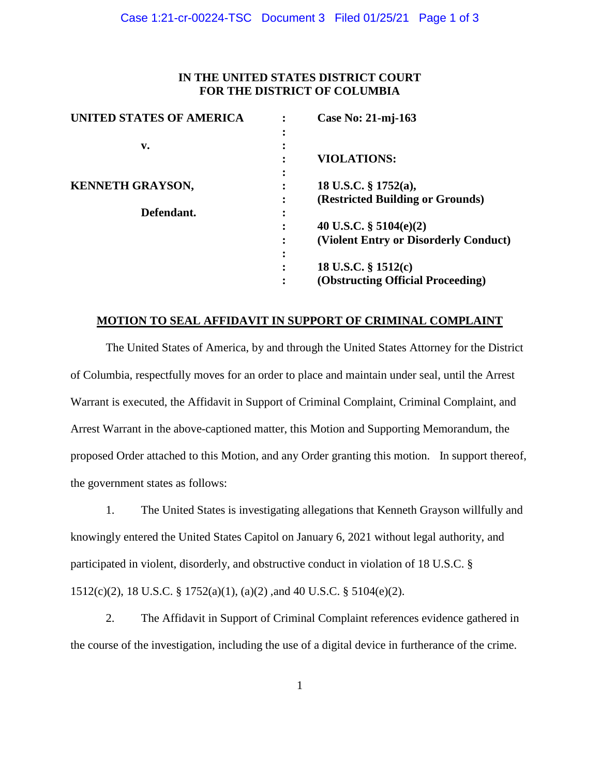# **IN THE UNITED STATES DISTRICT COURT FOR THE DISTRICT OF COLUMBIA**

| <b>UNITED STATES OF AMERICA</b> |           | Case No: 21-mj-163                    |
|---------------------------------|-----------|---------------------------------------|
|                                 |           |                                       |
| v.                              |           |                                       |
|                                 |           | <b>VIOLATIONS:</b>                    |
|                                 | ٠         |                                       |
| <b>KENNETH GRAYSON,</b>         |           | 18 U.S.C. $\S$ 1752(a),               |
|                                 | $\bullet$ | (Restricted Building or Grounds)      |
| Defendant.                      | ٠         |                                       |
|                                 |           | 40 U.S.C. $\S$ 5104(e)(2)             |
|                                 |           | (Violent Entry or Disorderly Conduct) |
|                                 | ٠         |                                       |
|                                 | ٠         | 18 U.S.C. $\S$ 1512(c)                |
|                                 |           | (Obstructing Official Proceeding)     |
|                                 |           |                                       |

# **MOTION TO SEAL AFFIDAVIT IN SUPPORT OF CRIMINAL COMPLAINT**

The United States of America, by and through the United States Attorney for the District of Columbia, respectfully moves for an order to place and maintain under seal, until the Arrest Warrant is executed, the Affidavit in Support of Criminal Complaint, Criminal Complaint, and Arrest Warrant in the above-captioned matter, this Motion and Supporting Memorandum, the proposed Order attached to this Motion, and any Order granting this motion. In support thereof, the government states as follows:

1. The United States is investigating allegations that Kenneth Grayson willfully and knowingly entered the United States Capitol on January 6, 2021 without legal authority, and participated in violent, disorderly, and obstructive conduct in violation of 18 U.S.C. § 1512(c)(2), 18 U.S.C. § 1752(a)(1), (a)(2) ,and 40 U.S.C. § 5104(e)(2).

2. The Affidavit in Support of Criminal Complaint references evidence gathered in the course of the investigation, including the use of a digital device in furtherance of the crime.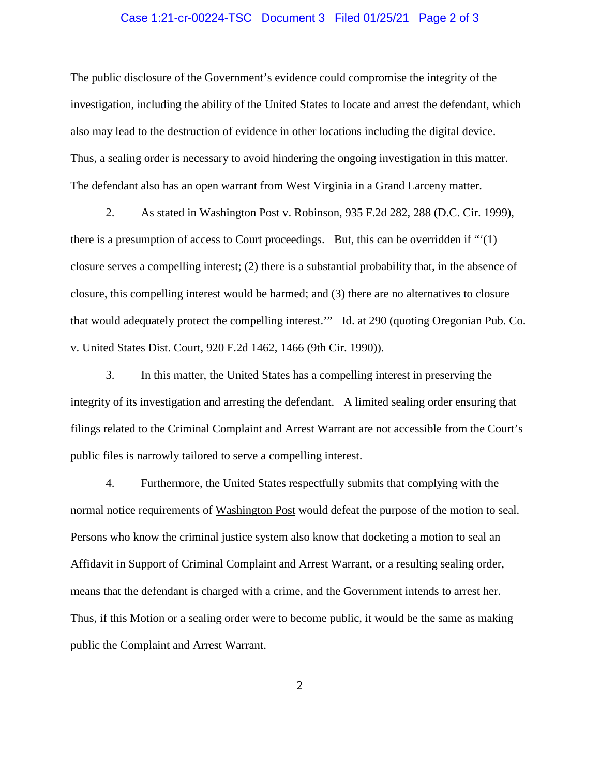### Case 1:21-cr-00224-TSC Document 3 Filed 01/25/21 Page 2 of 3

The public disclosure of the Government's evidence could compromise the integrity of the investigation, including the ability of the United States to locate and arrest the defendant, which also may lead to the destruction of evidence in other locations including the digital device. Thus, a sealing order is necessary to avoid hindering the ongoing investigation in this matter. The defendant also has an open warrant from West Virginia in a Grand Larceny matter.

2. As stated in Washington Post v. Robinson, 935 F.2d 282, 288 (D.C. Cir. 1999), there is a presumption of access to Court proceedings. But, this can be overridden if "'(1) closure serves a compelling interest; (2) there is a substantial probability that, in the absence of closure, this compelling interest would be harmed; and (3) there are no alternatives to closure that would adequately protect the compelling interest.'" Id. at 290 (quoting Oregonian Pub. Co. v. United States Dist. Court, 920 F.2d 1462, 1466 (9th Cir. 1990)).

3. In this matter, the United States has a compelling interest in preserving the integrity of its investigation and arresting the defendant. A limited sealing order ensuring that filings related to the Criminal Complaint and Arrest Warrant are not accessible from the Court's public files is narrowly tailored to serve a compelling interest.

4. Furthermore, the United States respectfully submits that complying with the normal notice requirements of Washington Post would defeat the purpose of the motion to seal. Persons who know the criminal justice system also know that docketing a motion to seal an Affidavit in Support of Criminal Complaint and Arrest Warrant, or a resulting sealing order, means that the defendant is charged with a crime, and the Government intends to arrest her. Thus, if this Motion or a sealing order were to become public, it would be the same as making public the Complaint and Arrest Warrant.

2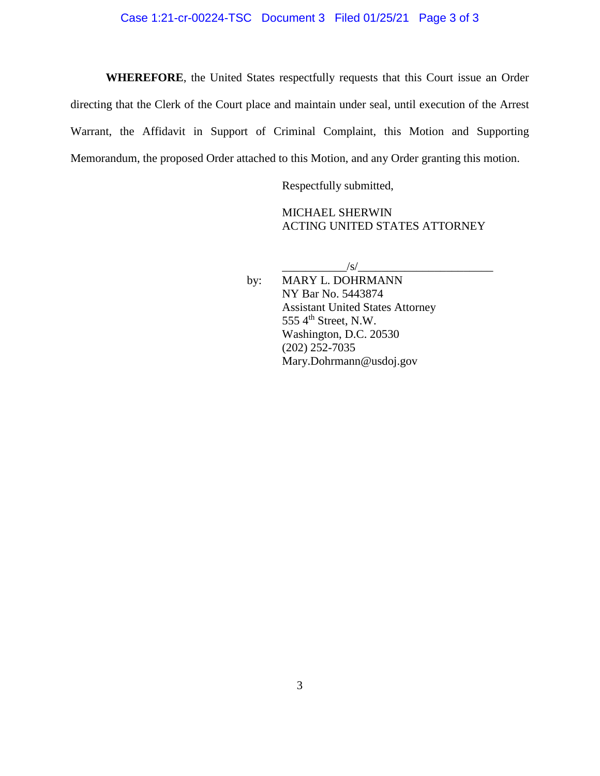**WHEREFORE**, the United States respectfully requests that this Court issue an Order directing that the Clerk of the Court place and maintain under seal, until execution of the Arrest Warrant, the Affidavit in Support of Criminal Complaint, this Motion and Supporting Memorandum, the proposed Order attached to this Motion, and any Order granting this motion.

Respectfully submitted,

MICHAEL SHERWIN ACTING UNITED STATES ATTORNEY

 $\frac{|S|}{|S|}$ 

by: MARY L. DOHRMANN NY Bar No. 5443874 Assistant United States Attorney 555  $4<sup>th</sup>$  Street, N.W. Washington, D.C. 20530 (202) 252-7035 Mary.Dohrmann@usdoj.gov